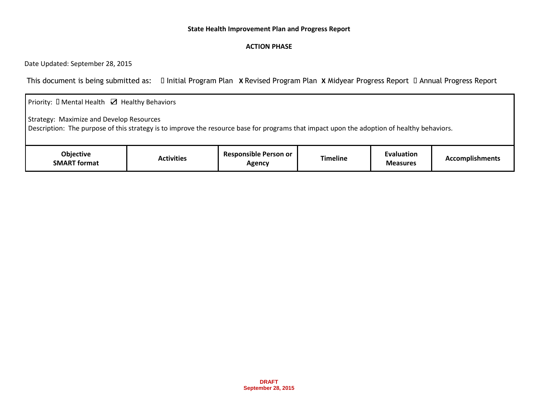## **State Health Improvement Plan and Progress Report**

## **ACTION PHASE**

Date Updated: September 28, 2015

This document is being submitted as:  $\Box$  Initial Program Plan **X** Revised Program Plan **X** Midyear Progress Report  $\Box$  Annual Progress Report

| Priority: $\square$ Mental Health $\square$ Healthy Behaviors                                                                                                                          |                   |                                        |                 |                                      |                        |  |  |  |  |
|----------------------------------------------------------------------------------------------------------------------------------------------------------------------------------------|-------------------|----------------------------------------|-----------------|--------------------------------------|------------------------|--|--|--|--|
| Strategy: Maximize and Develop Resources<br>Description: The purpose of this strategy is to improve the resource base for programs that impact upon the adoption of healthy behaviors. |                   |                                        |                 |                                      |                        |  |  |  |  |
| <b>Objective</b><br><b>SMART format</b>                                                                                                                                                | <b>Activities</b> | <b>Responsible Person or</b><br>Agency | <b>Timeline</b> | <b>Evaluation</b><br><b>Measures</b> | <b>Accomplishments</b> |  |  |  |  |